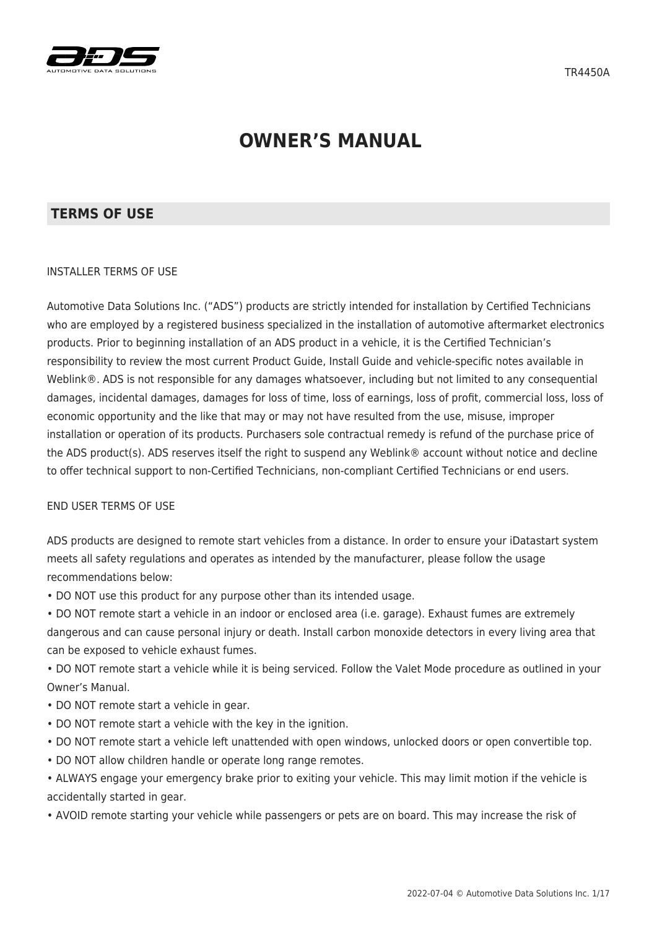

# **OWNER'S MANUAL**

#### **TERMS OF USE**

#### INSTALLER TERMS OF USE

Automotive Data Solutions Inc. ("ADS") products are strictly intended for installation by Certified Technicians who are employed by a registered business specialized in the installation of automotive aftermarket electronics products. Prior to beginning installation of an ADS product in a vehicle, it is the Certified Technician's responsibility to review the most current Product Guide, Install Guide and vehicle-specific notes available in Weblink®. ADS is not responsible for any damages whatsoever, including but not limited to any consequential damages, incidental damages, damages for loss of time, loss of earnings, loss of profit, commercial loss, loss of economic opportunity and the like that may or may not have resulted from the use, misuse, improper installation or operation of its products. Purchasers sole contractual remedy is refund of the purchase price of the ADS product(s). ADS reserves itself the right to suspend any Weblink® account without notice and decline to offer technical support to non-Certified Technicians, non-compliant Certified Technicians or end users.

#### END USER TERMS OF USE

ADS products are designed to remote start vehicles from a distance. In order to ensure your iDatastart system meets all safety regulations and operates as intended by the manufacturer, please follow the usage recommendations below:

• DO NOT use this product for any purpose other than its intended usage.

• DO NOT remote start a vehicle in an indoor or enclosed area (i.e. garage). Exhaust fumes are extremely dangerous and can cause personal injury or death. Install carbon monoxide detectors in every living area that can be exposed to vehicle exhaust fumes.

• DO NOT remote start a vehicle while it is being serviced. Follow the Valet Mode procedure as outlined in your Owner's Manual.

- DO NOT remote start a vehicle in gear.
- DO NOT remote start a vehicle with the key in the ignition.
- DO NOT remote start a vehicle left unattended with open windows, unlocked doors or open convertible top.
- DO NOT allow children handle or operate long range remotes.

• ALWAYS engage your emergency brake prior to exiting your vehicle. This may limit motion if the vehicle is accidentally started in gear.

• AVOID remote starting your vehicle while passengers or pets are on board. This may increase the risk of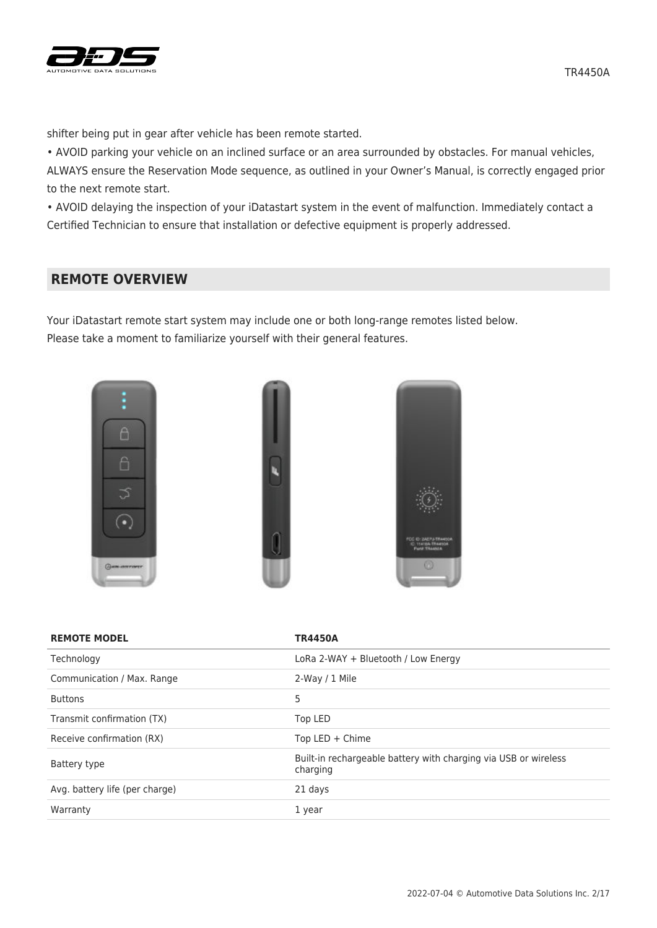

shifter being put in gear after vehicle has been remote started.

• AVOID parking your vehicle on an inclined surface or an area surrounded by obstacles. For manual vehicles, ALWAYS ensure the Reservation Mode sequence, as outlined in your Owner's Manual, is correctly engaged prior to the next remote start.

• AVOID delaying the inspection of your iDatastart system in the event of malfunction. Immediately contact a Certified Technician to ensure that installation or defective equipment is properly addressed.

# **REMOTE OVERVIEW**

Your iDatastart remote start system may include one or both long-range remotes listed below. Please take a moment to familiarize yourself with their general features.







| <b>REMOTE MODEL</b>            | <b>TR4450A</b>                                                              |
|--------------------------------|-----------------------------------------------------------------------------|
| Technology                     | LoRa 2-WAY + Bluetooth / Low Energy                                         |
| Communication / Max. Range     | 2-Way / 1 Mile                                                              |
| <b>Buttons</b>                 | 5                                                                           |
| Transmit confirmation (TX)     | Top LED                                                                     |
| Receive confirmation (RX)      | Top LED $+$ Chime                                                           |
| Battery type                   | Built-in rechargeable battery with charging via USB or wireless<br>charging |
| Avg. battery life (per charge) | 21 days                                                                     |
| Warranty                       | 1 year                                                                      |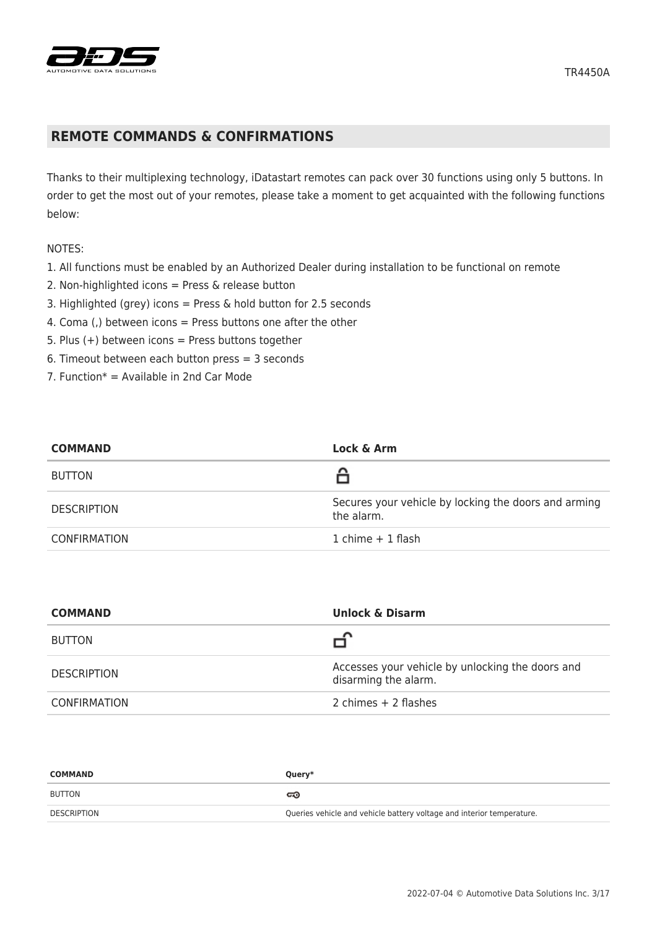

## **REMOTE COMMANDS & CONFIRMATIONS**

Thanks to their multiplexing technology, iDatastart remotes can pack over 30 functions using only 5 buttons. In order to get the most out of your remotes, please take a moment to get acquainted with the following functions below:

#### NOTES:

- 1. All functions must be enabled by an Authorized Dealer during installation to be functional on remote
- 2. Non-highlighted icons = Press & release button
- 3. Highlighted (grey) icons = Press & hold button for 2.5 seconds
- 4. Coma (,) between icons = Press buttons one after the other
- 5. Plus  $(+)$  between icons = Press buttons together
- 6. Timeout between each button press = 3 seconds
- 7. Function $* =$  Available in 2nd Car Mode

| <b>COMMAND</b>      | Lock & Arm                                                         |
|---------------------|--------------------------------------------------------------------|
| <b>BUTTON</b>       |                                                                    |
| <b>DESCRIPTION</b>  | Secures your vehicle by locking the doors and arming<br>the alarm. |
| <b>CONFIRMATION</b> | 1 chime $+$ 1 flash                                                |

| <b>COMMAND</b>      | <b>Unlock &amp; Disarm</b>                                               |
|---------------------|--------------------------------------------------------------------------|
| <b>BUTTON</b>       |                                                                          |
| <b>DESCRIPTION</b>  | Accesses your vehicle by unlocking the doors and<br>disarming the alarm. |
| <b>CONFIRMATION</b> | 2 chimes $+$ 2 flashes                                                   |

| <b>COMMAND</b> | Query*                                                                |
|----------------|-----------------------------------------------------------------------|
| BUTTON         | ದಾ                                                                    |
| DESCRIPTION    | Queries vehicle and vehicle battery voltage and interior temperature. |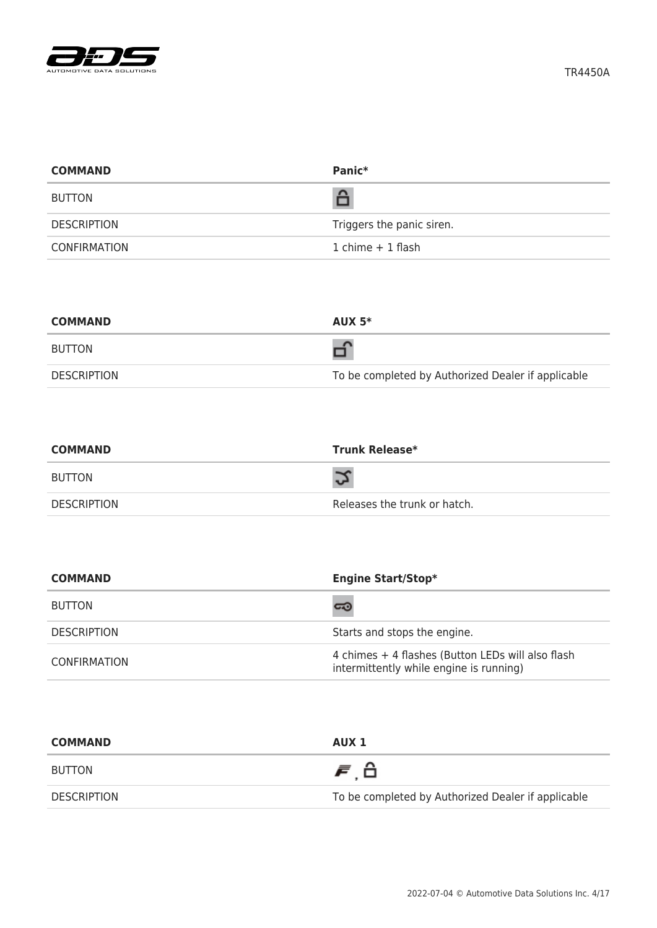

| <b>COMMAND</b>      | Panic*                    |
|---------------------|---------------------------|
| <b>BUTTON</b>       | â                         |
| <b>DESCRIPTION</b>  | Triggers the panic siren. |
| <b>CONFIRMATION</b> | $1$ chime $+1$ flash      |

| <b>COMMAND</b> | AUX $5*$                                           |
|----------------|----------------------------------------------------|
| <b>BUTTON</b>  |                                                    |
| DESCRIPTION    | To be completed by Authorized Dealer if applicable |

| <b>COMMAND</b> | <b>Trunk Release*</b>        |
|----------------|------------------------------|
| BUTTON         |                              |
| DESCRIPTION    | Releases the trunk or hatch. |

| <b>COMMAND</b>      | <b>Engine Start/Stop*</b>                                                                    |
|---------------------|----------------------------------------------------------------------------------------------|
| <b>BUTTON</b>       | ದಾ                                                                                           |
| <b>DESCRIPTION</b>  | Starts and stops the engine.                                                                 |
| <b>CONFIRMATION</b> | 4 chimes + 4 flashes (Button LEDs will also flash<br>intermittently while engine is running) |

| <b>COMMAND</b> | AUX 1                                              |
|----------------|----------------------------------------------------|
| BUTTON         | 声台                                                 |
| DESCRIPTION    | To be completed by Authorized Dealer if applicable |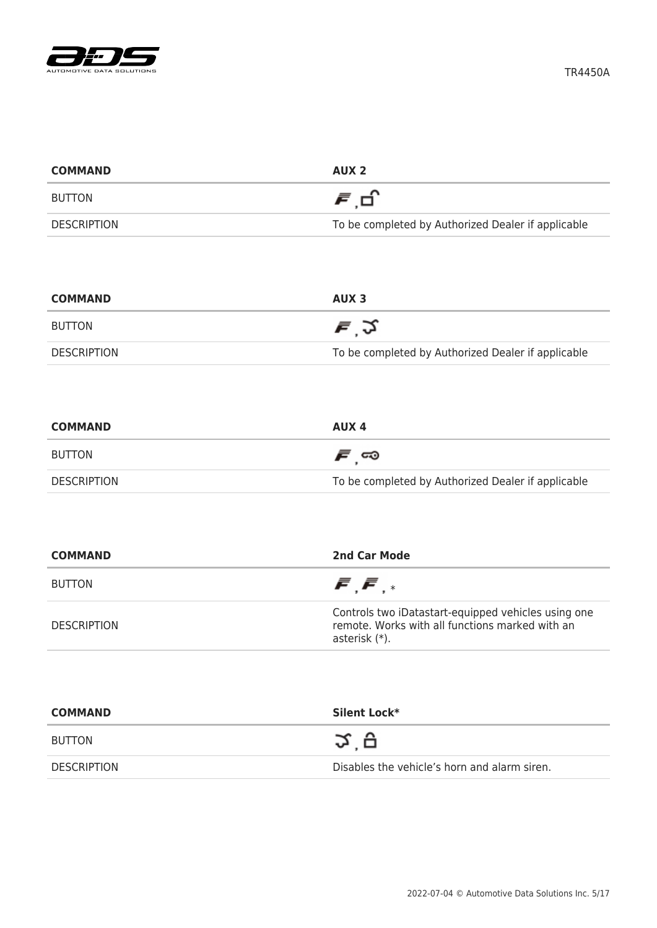

| <b>COMMAND</b>     | AUX <sub>2</sub>                                   |
|--------------------|----------------------------------------------------|
| <b>BUTTON</b>      | 月日                                                 |
| <b>DESCRIPTION</b> | To be completed by Authorized Dealer if applicable |

| <b>COMMAND</b> | AUX 3                                              |
|----------------|----------------------------------------------------|
| BUTTON         | <i>≡</i> ্ঠ                                        |
| DESCRIPTION    | To be completed by Authorized Dealer if applicable |

| <b>COMMAND</b>     | AUX 4                                              |
|--------------------|----------------------------------------------------|
| BUTTON             | ౯్ా                                                |
| <b>DESCRIPTION</b> | To be completed by Authorized Dealer if applicable |

| <b>COMMAND</b>     | 2nd Car Mode                                                                                                            |
|--------------------|-------------------------------------------------------------------------------------------------------------------------|
| <b>BUTTON</b>      | $\bar{F}$ , $\bar{F}$ , $*$                                                                                             |
| <b>DESCRIPTION</b> | Controls two iDatastart-equipped vehicles using one<br>remote. Works with all functions marked with an<br>asterisk (*). |

| <b>COMMAND</b>     | Silent Lock*                                 |
|--------------------|----------------------------------------------|
| <b>BUTTON</b>      | Ω ⊊                                          |
| <b>DESCRIPTION</b> | Disables the vehicle's horn and alarm siren. |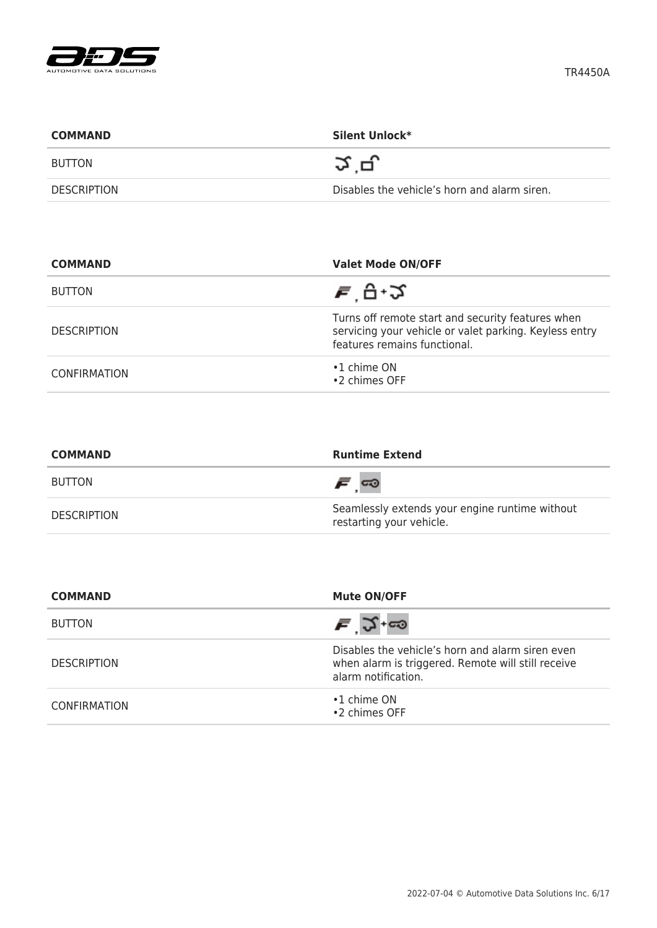

| <b>COMMAND</b>     | Silent Unlock*                               |
|--------------------|----------------------------------------------|
| BUTTON             | ゙゚゚゚゚ゔ゙゙゙゙゙゚゚゚゚゚゚                            |
| <b>DESCRIPTION</b> | Disables the vehicle's horn and alarm siren. |

| <b>COMMAND</b>      | <b>Valet Mode ON/OFF</b>                                                                                                                    |
|---------------------|---------------------------------------------------------------------------------------------------------------------------------------------|
| <b>BUTTON</b>       | ਵ ਦੇ ∙੭                                                                                                                                     |
| <b>DESCRIPTION</b>  | Turns off remote start and security features when<br>servicing your vehicle or valet parking. Keyless entry<br>features remains functional. |
| <b>CONFIRMATION</b> | $\cdot$ 1 chime ON<br>•2 chimes OFF                                                                                                         |

| <b>COMMAND</b>     | <b>Runtime Extend</b>                                                      |
|--------------------|----------------------------------------------------------------------------|
| <b>BUTTON</b>      | <i>೯</i> ∞                                                                 |
| <b>DESCRIPTION</b> | Seamlessly extends your engine runtime without<br>restarting your vehicle. |

| <b>COMMAND</b>      | <b>Mute ON/OFF</b>                                                                                                            |
|---------------------|-------------------------------------------------------------------------------------------------------------------------------|
| <b>BUTTON</b>       | $\bar{F}$ $\Im$ +co                                                                                                           |
| <b>DESCRIPTION</b>  | Disables the vehicle's horn and alarm siren even<br>when alarm is triggered. Remote will still receive<br>alarm notification. |
| <b>CONFIRMATION</b> | $\cdot$ 1 chime ON<br>•2 chimes OFF                                                                                           |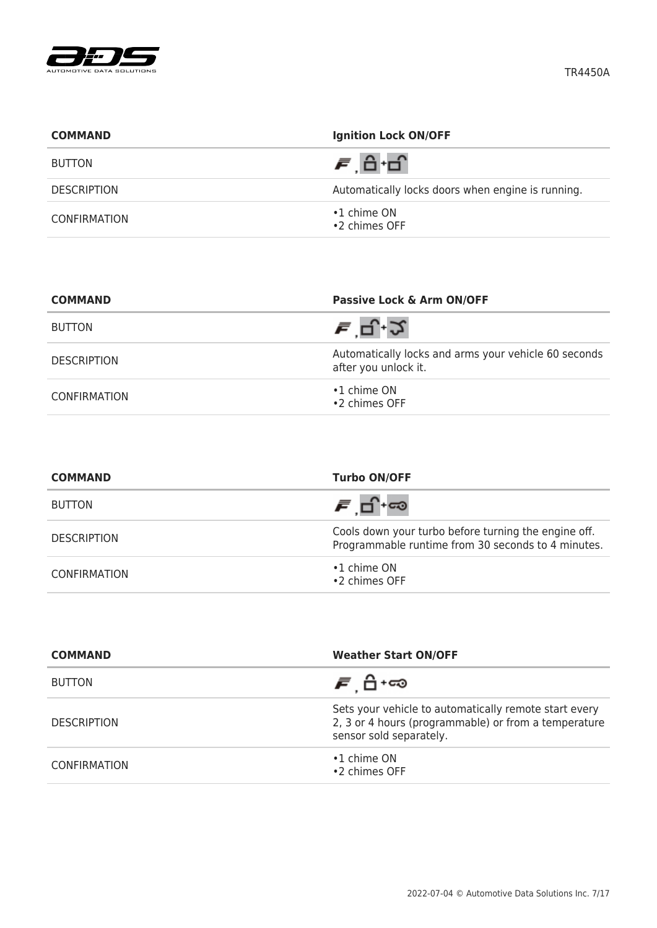

| <b>COMMAND</b>     | <b>Ignition Lock ON/OFF</b>                       |
|--------------------|---------------------------------------------------|
| <b>BUTTON</b>      | <i>声</i> , 台 ·台                                   |
| <b>DESCRIPTION</b> | Automatically locks doors when engine is running. |
| CONFIRMATION       | $\cdot$ 1 chime ON<br>•2 chimes OFF               |

| <b>COMMAND</b>     | Passive Lock & Arm ON/OFF                                                    |
|--------------------|------------------------------------------------------------------------------|
| <b>BUTTON</b>      | <i>ਵ</i> 'ਚ.-2                                                               |
| <b>DESCRIPTION</b> | Automatically locks and arms your vehicle 60 seconds<br>after you unlock it. |
| CONFIRMATION       | $\cdot$ 1 chime ON<br>•2 chimes OFF                                          |

| <b>COMMAND</b>      | <b>Turbo ON/OFF</b>                                                                                        |
|---------------------|------------------------------------------------------------------------------------------------------------|
| <b>BUTTON</b>       | சங்⊷                                                                                                       |
| <b>DESCRIPTION</b>  | Cools down your turbo before turning the engine off.<br>Programmable runtime from 30 seconds to 4 minutes. |
| <b>CONFIRMATION</b> | $\cdot$ 1 chime ON<br>•2 chimes OFF                                                                        |

| <b>COMMAND</b>      | <b>Weather Start ON/OFF</b>                                                                                                              |
|---------------------|------------------------------------------------------------------------------------------------------------------------------------------|
| <b>BUTTON</b>       | <i>ச</i> பி்+ை                                                                                                                           |
| <b>DESCRIPTION</b>  | Sets your vehicle to automatically remote start every<br>2, 3 or 4 hours (programmable) or from a temperature<br>sensor sold separately. |
| <b>CONFIRMATION</b> | $\cdot$ 1 chime ON<br>•2 chimes OFF                                                                                                      |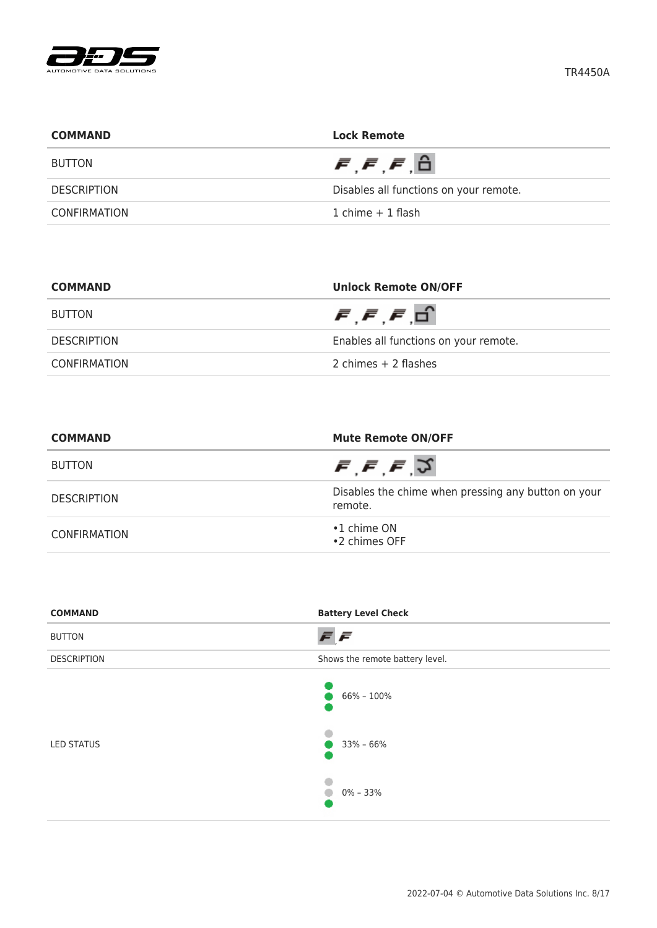

| <b>COMMAND</b>     | <b>Lock Remote</b>                               |
|--------------------|--------------------------------------------------|
| <b>BUTTON</b>      | $\bar{F}$ , $\bar{F}$ , $\bar{F}$ , $\hat{\Box}$ |
| <b>DESCRIPTION</b> | Disables all functions on your remote.           |
| CONFIRMATION       | 1 chime $+$ 1 flash                              |

| <b>COMMAND</b> | <b>Unlock Remote ON/OFF</b>                      |
|----------------|--------------------------------------------------|
| BUTTON         | $\bar{F}$ , $\bar{F}$ , $\bar{F}$ , $\bar{\Box}$ |
| DESCRIPTION    | Enables all functions on your remote.            |
| CONFIRMATION   | 2 chimes $+$ 2 flashes                           |

| <b>COMMAND</b>      | <b>Mute Remote ON/OFF</b><br>$\bar{F}, \bar{F}, \bar{F}, \bar{S}$ |  |
|---------------------|-------------------------------------------------------------------|--|
| <b>BUTTON</b>       |                                                                   |  |
| <b>DESCRIPTION</b>  | Disables the chime when pressing any button on your<br>remote.    |  |
| <b>CONFIRMATION</b> | $\cdot$ 1 chime ON<br>•2 chimes OFF                               |  |

| <b>COMMAND</b>     | <b>Battery Level Check</b>      |
|--------------------|---------------------------------|
| <b>BUTTON</b>      | FF                              |
| <b>DESCRIPTION</b> | Shows the remote battery level. |
| <b>LED STATUS</b>  | 66% - 100%<br>$33\% - 66\%$     |
|                    | $0\% - 33\%$                    |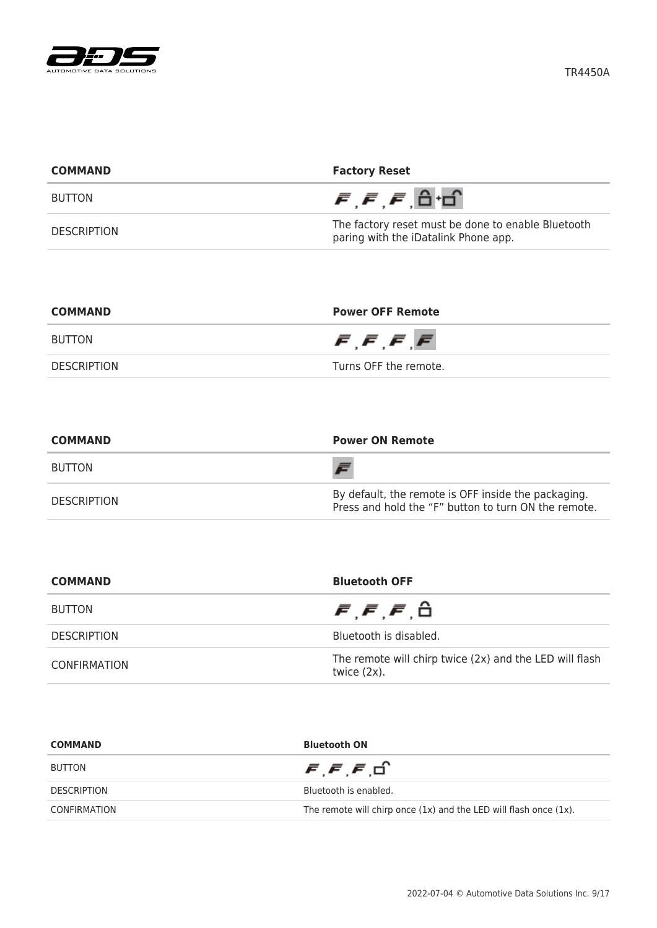

| <b>COMMAND</b>     | <b>Factory Reset</b>                                                                       |  |
|--------------------|--------------------------------------------------------------------------------------------|--|
| <b>BUTTON</b>      | $\vec{F}$ , $\vec{F}$ , $\vec{F}$ , $\hat{\Box}$ $\Box$                                    |  |
| <b>DESCRIPTION</b> | The factory reset must be done to enable Bluetooth<br>paring with the iDatalink Phone app. |  |

| <b>COMMAND</b> | <b>Power OFF Remote</b>                       |  |
|----------------|-----------------------------------------------|--|
| <b>BUTTON</b>  | $\bar{F}$ , $\bar{F}$ , $\bar{F}$ , $\bar{F}$ |  |
| DESCRIPTION    | Turns OFF the remote.                         |  |

| <b>COMMAND</b>     | <b>Power ON Remote</b>                                                                                      |  |
|--------------------|-------------------------------------------------------------------------------------------------------------|--|
| <b>BUTTON</b>      |                                                                                                             |  |
| <b>DESCRIPTION</b> | By default, the remote is OFF inside the packaging.<br>Press and hold the "F" button to turn ON the remote. |  |

| <b>COMMAND</b>     | <b>Bluetooth OFF</b>                                                      |  |
|--------------------|---------------------------------------------------------------------------|--|
| <b>BUTTON</b>      | $\bar{F}, \bar{F}, \bar{F}, \hat{\Box}$                                   |  |
| <b>DESCRIPTION</b> | Bluetooth is disabled.                                                    |  |
| CONFIRMATION       | The remote will chirp twice (2x) and the LED will flash<br>twice $(2x)$ . |  |

| <b>COMMAND</b>     | <b>Bluetooth ON</b>                                                    |  |
|--------------------|------------------------------------------------------------------------|--|
| <b>BUTTON</b>      | $\bar{F}$ , $\bar{F}$ , $\bar{F}$ , $\Box$                             |  |
| <b>DESCRIPTION</b> | Bluetooth is enabled.                                                  |  |
| CONFIRMATION       | The remote will chirp once $(1x)$ and the LED will flash once $(1x)$ . |  |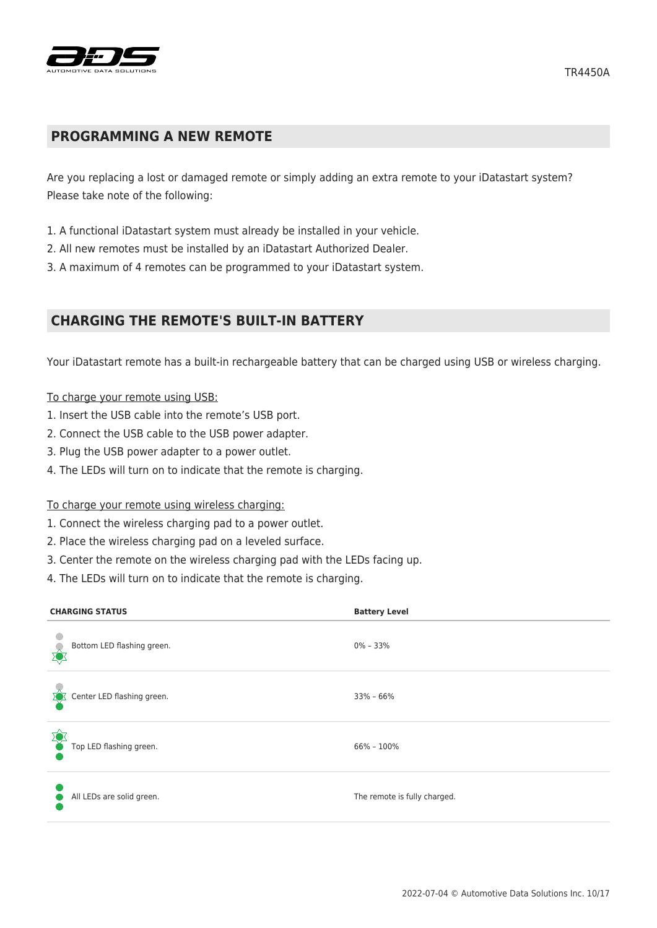

## **PROGRAMMING A NEW REMOTE**

Are you replacing a lost or damaged remote or simply adding an extra remote to your iDatastart system? Please take note of the following:

- 1. A functional iDatastart system must already be installed in your vehicle.
- 2. All new remotes must be installed by an iDatastart Authorized Dealer.
- 3. A maximum of 4 remotes can be programmed to your iDatastart system.

## **CHARGING THE REMOTE'S BUILT-IN BATTERY**

Your iDatastart remote has a built-in rechargeable battery that can be charged using USB or wireless charging.

#### To charge your remote using USB:

- 1. Insert the USB cable into the remote's USB port.
- 2. Connect the USB cable to the USB power adapter.
- 3. Plug the USB power adapter to a power outlet.
- 4. The LEDs will turn on to indicate that the remote is charging.

#### To charge your remote using wireless charging:

- 1. Connect the wireless charging pad to a power outlet.
- 2. Place the wireless charging pad on a leveled surface.
- 3. Center the remote on the wireless charging pad with the LEDs facing up.
- 4. The LEDs will turn on to indicate that the remote is charging.

| <b>CHARGING STATUS</b>     | <b>Battery Level</b>         |
|----------------------------|------------------------------|
| Bottom LED flashing green. | $0\% - 33\%$                 |
| Center LED flashing green. | $33\% - 66\%$                |
| Top LED flashing green.    | $66\% - 100\%$               |
| All LEDs are solid green.  | The remote is fully charged. |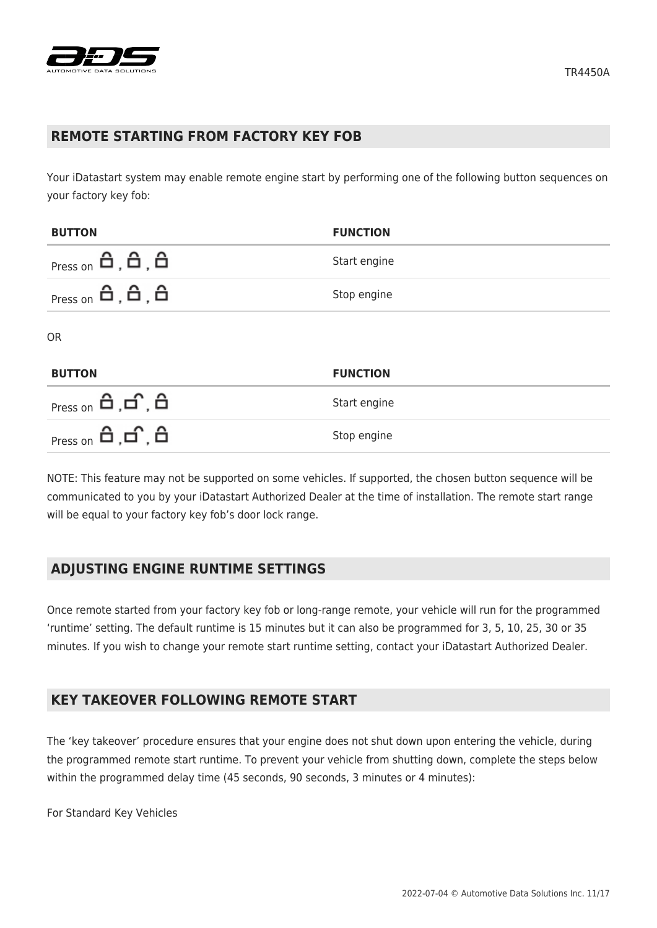

### **REMOTE STARTING FROM FACTORY KEY FOB**

Your iDatastart system may enable remote engine start by performing one of the following button sequences on your factory key fob:

| <b>BUTTON</b>                                                                                                                              | <b>FUNCTION</b> |
|--------------------------------------------------------------------------------------------------------------------------------------------|-----------------|
| $Press on \theta, \theta, \theta$                                                                                                          | Start engine    |
| $Press on \theta, \theta, \theta$                                                                                                          | Stop engine     |
| <b>OR</b>                                                                                                                                  |                 |
| <b>BUTTON</b>                                                                                                                              | <b>FUNCTION</b> |
| $Press on \theta, \theta, \theta$                                                                                                          | Start engine    |
| $Press on \nightharpoonup \nightharpoonup \nightharpoonup \nightharpoonup \nightharpoonup \nightharpoonup \nightharpoonup \nightharpoonup$ | Stop engine     |

NOTE: This feature may not be supported on some vehicles. If supported, the chosen button sequence will be communicated to you by your iDatastart Authorized Dealer at the time of installation. The remote start range will be equal to your factory key fob's door lock range.

## **ADJUSTING ENGINE RUNTIME SETTINGS**

Once remote started from your factory key fob or long-range remote, your vehicle will run for the programmed 'runtime' setting. The default runtime is 15 minutes but it can also be programmed for 3, 5, 10, 25, 30 or 35 minutes. If you wish to change your remote start runtime setting, contact your iDatastart Authorized Dealer.

## **KEY TAKEOVER FOLLOWING REMOTE START**

The 'key takeover' procedure ensures that your engine does not shut down upon entering the vehicle, during the programmed remote start runtime. To prevent your vehicle from shutting down, complete the steps below within the programmed delay time (45 seconds, 90 seconds, 3 minutes or 4 minutes):

For Standard Key Vehicles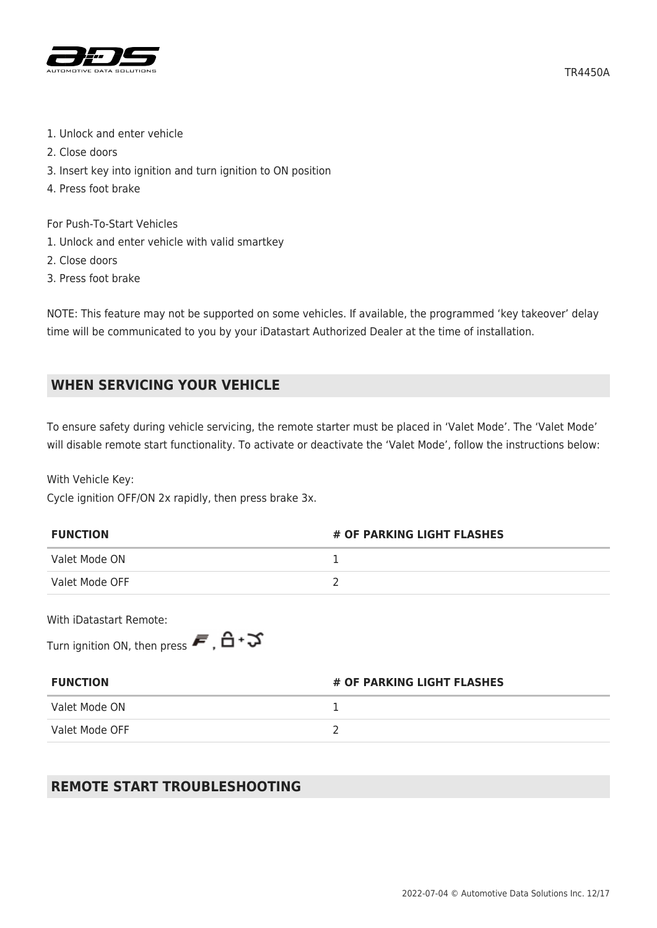

- 1. Unlock and enter vehicle
- 2. Close doors
- 3. Insert key into ignition and turn ignition to ON position
- 4. Press foot brake

For Push-To-Start Vehicles

- 1. Unlock and enter vehicle with valid smartkey
- 2. Close doors
- 3. Press foot brake

NOTE: This feature may not be supported on some vehicles. If available, the programmed 'key takeover' delay time will be communicated to you by your iDatastart Authorized Dealer at the time of installation.

# **WHEN SERVICING YOUR VEHICLE**

To ensure safety during vehicle servicing, the remote starter must be placed in 'Valet Mode'. The 'Valet Mode' will disable remote start functionality. To activate or deactivate the 'Valet Mode', follow the instructions below:

With Vehicle Key:

Cycle ignition OFF/ON 2x rapidly, then press brake 3x.

| <b>FUNCTION</b> | # OF PARKING LIGHT FLASHES |
|-----------------|----------------------------|
| Valet Mode ON   |                            |
| Valet Mode OFF  |                            |

With iDatastart Remote:

Turn ignition ON, then press  $\vec{F}$ ,  $\vec{B}$  +  $\vec{v}$ 

| <b>FUNCTION</b> | # OF PARKING LIGHT FLASHES |  |
|-----------------|----------------------------|--|
| Valet Mode ON   |                            |  |
| Valet Mode OFF  |                            |  |

# **REMOTE START TROUBLESHOOTING**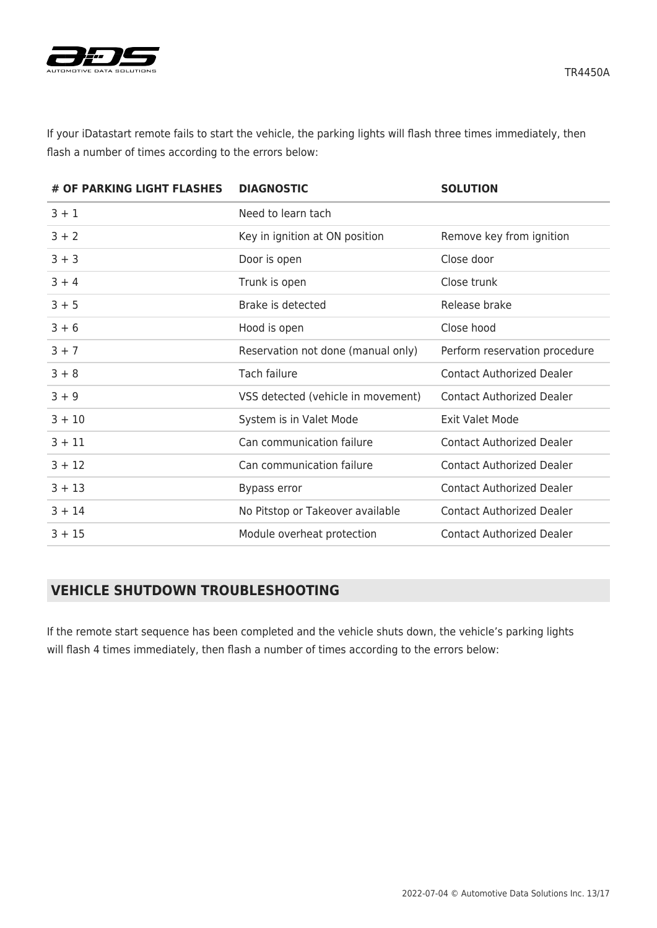

If your iDatastart remote fails to start the vehicle, the parking lights will flash three times immediately, then flash a number of times according to the errors below:

| # OF PARKING LIGHT FLASHES | <b>DIAGNOSTIC</b>                  | <b>SOLUTION</b>                  |
|----------------------------|------------------------------------|----------------------------------|
| $3 + 1$                    | Need to learn tach                 |                                  |
| $3 + 2$                    | Key in ignition at ON position     | Remove key from ignition         |
| $3 + 3$                    | Door is open                       | Close door                       |
| $3 + 4$                    | Trunk is open                      | Close trunk                      |
| $3 + 5$                    | Brake is detected                  | Release brake                    |
| $3 + 6$                    | Hood is open                       | Close hood                       |
| $3 + 7$                    | Reservation not done (manual only) | Perform reservation procedure    |
| $3 + 8$                    | Tach failure                       | <b>Contact Authorized Dealer</b> |
| $3 + 9$                    | VSS detected (vehicle in movement) | <b>Contact Authorized Dealer</b> |
| $3 + 10$                   | System is in Valet Mode            | <b>Exit Valet Mode</b>           |
| $3 + 11$                   | Can communication failure          | <b>Contact Authorized Dealer</b> |
| $3 + 12$                   | Can communication failure          | <b>Contact Authorized Dealer</b> |
| $3 + 13$                   | Bypass error                       | <b>Contact Authorized Dealer</b> |
| $3 + 14$                   | No Pitstop or Takeover available   | <b>Contact Authorized Dealer</b> |
| $3 + 15$                   | Module overheat protection         | <b>Contact Authorized Dealer</b> |

## **VEHICLE SHUTDOWN TROUBLESHOOTING**

If the remote start sequence has been completed and the vehicle shuts down, the vehicle's parking lights will flash 4 times immediately, then flash a number of times according to the errors below: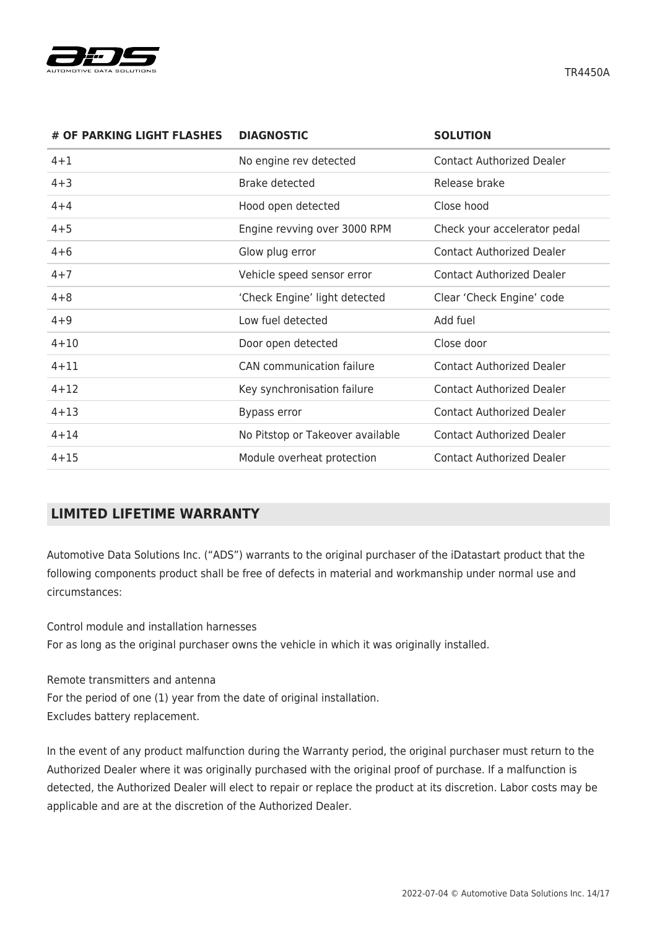

**# OF PARKING LIGHT FLASHES DIAGNOSTIC SOLUTION** 4+1 No engine rev detected Contact Authorized Dealer 4+3 Brake detected Release brake 4+4 Hood open detected Close hood 4+5 Engine revving over 3000 RPM Check your accelerator pedal 4+6 Glow plug error Contact Authorized Dealer 4+7 Vehicle speed sensor error Contact Authorized Dealer 4+8 'Check Engine' light detected Clear 'Check Engine' code 4+9 Low fuel detected Add fuel 4+10 Door open detected Close door 4+11 CAN communication failure Contact Authorized Dealer 4+12 Key synchronisation failure Contact Authorized Dealer 4+13 Bypass error Contact Authorized Dealer 4+14 No Pitstop or Takeover available Contact Authorized Dealer 4+15 Module overheat protection Contact Authorized Dealer

# **LIMITED LIFETIME WARRANTY**

Automotive Data Solutions Inc. ("ADS") warrants to the original purchaser of the iDatastart product that the following components product shall be free of defects in material and workmanship under normal use and circumstances:

Control module and installation harnesses For as long as the original purchaser owns the vehicle in which it was originally installed.

Remote transmitters and antenna For the period of one (1) year from the date of original installation. Excludes battery replacement.

In the event of any product malfunction during the Warranty period, the original purchaser must return to the Authorized Dealer where it was originally purchased with the original proof of purchase. If a malfunction is detected, the Authorized Dealer will elect to repair or replace the product at its discretion. Labor costs may be applicable and are at the discretion of the Authorized Dealer.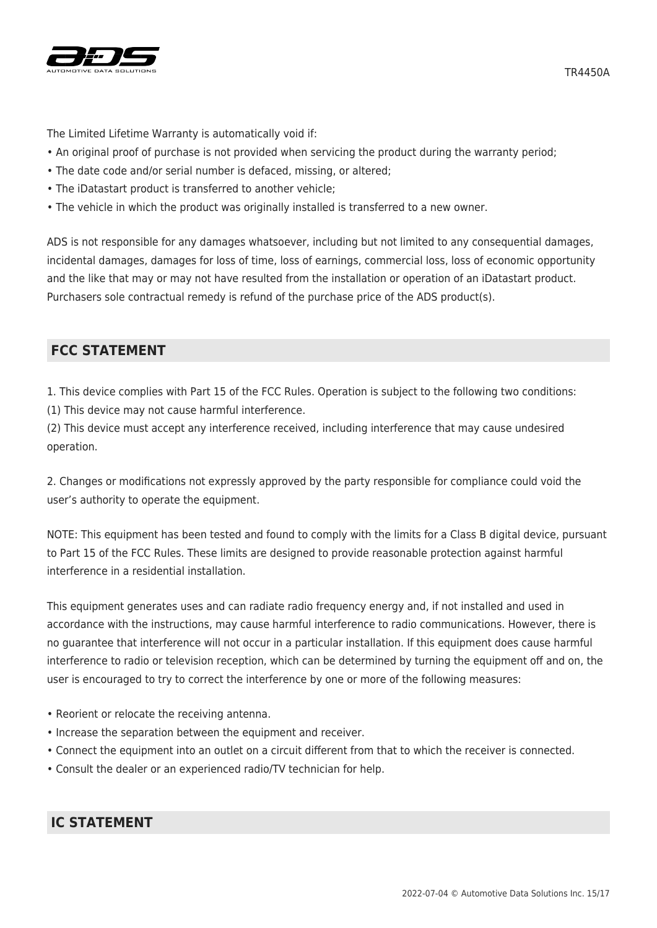

The Limited Lifetime Warranty is automatically void if:

- An original proof of purchase is not provided when servicing the product during the warranty period;
- The date code and/or serial number is defaced, missing, or altered;
- The iDatastart product is transferred to another vehicle;
- The vehicle in which the product was originally installed is transferred to a new owner.

ADS is not responsible for any damages whatsoever, including but not limited to any consequential damages, incidental damages, damages for loss of time, loss of earnings, commercial loss, loss of economic opportunity and the like that may or may not have resulted from the installation or operation of an iDatastart product. Purchasers sole contractual remedy is refund of the purchase price of the ADS product(s).

# **FCC STATEMENT**

1. This device complies with Part 15 of the FCC Rules. Operation is subject to the following two conditions:

(1) This device may not cause harmful interference.

(2) This device must accept any interference received, including interference that may cause undesired operation.

2. Changes or modifications not expressly approved by the party responsible for compliance could void the user's authority to operate the equipment.

NOTE: This equipment has been tested and found to comply with the limits for a Class B digital device, pursuant to Part 15 of the FCC Rules. These limits are designed to provide reasonable protection against harmful interference in a residential installation.

This equipment generates uses and can radiate radio frequency energy and, if not installed and used in accordance with the instructions, may cause harmful interference to radio communications. However, there is no guarantee that interference will not occur in a particular installation. If this equipment does cause harmful interference to radio or television reception, which can be determined by turning the equipment off and on, the user is encouraged to try to correct the interference by one or more of the following measures:

- Reorient or relocate the receiving antenna.
- Increase the separation between the equipment and receiver.
- Connect the equipment into an outlet on a circuit different from that to which the receiver is connected.
- Consult the dealer or an experienced radio/TV technician for help.

# **IC STATEMENT**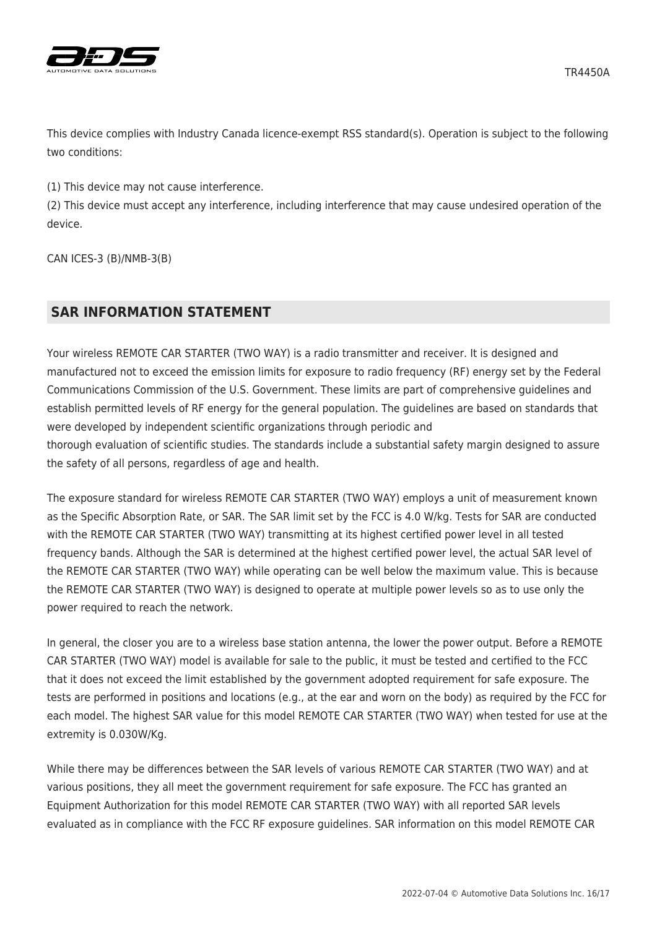



This device complies with Industry Canada licence-exempt RSS standard(s). Operation is subject to the following two conditions:

(1) This device may not cause interference.

(2) This device must accept any interference, including interference that may cause undesired operation of the device.

CAN ICES-3 (B)/NMB-3(B)

# **SAR INFORMATION STATEMENT**

Your wireless REMOTE CAR STARTER (TWO WAY) is a radio transmitter and receiver. It is designed and manufactured not to exceed the emission limits for exposure to radio frequency (RF) energy set by the Federal Communications Commission of the U.S. Government. These limits are part of comprehensive guidelines and establish permitted levels of RF energy for the general population. The guidelines are based on standards that were developed by independent scientific organizations through periodic and thorough evaluation of scientific studies. The standards include a substantial safety margin designed to assure the safety of all persons, regardless of age and health.

The exposure standard for wireless REMOTE CAR STARTER (TWO WAY) employs a unit of measurement known as the Specific Absorption Rate, or SAR. The SAR limit set by the FCC is 4.0 W/kg. Tests for SAR are conducted with the REMOTE CAR STARTER (TWO WAY) transmitting at its highest certified power level in all tested frequency bands. Although the SAR is determined at the highest certified power level, the actual SAR level of the REMOTE CAR STARTER (TWO WAY) while operating can be well below the maximum value. This is because the REMOTE CAR STARTER (TWO WAY) is designed to operate at multiple power levels so as to use only the power required to reach the network.

In general, the closer you are to a wireless base station antenna, the lower the power output. Before a REMOTE CAR STARTER (TWO WAY) model is available for sale to the public, it must be tested and certified to the FCC that it does not exceed the limit established by the government adopted requirement for safe exposure. The tests are performed in positions and locations (e.g., at the ear and worn on the body) as required by the FCC for each model. The highest SAR value for this model REMOTE CAR STARTER (TWO WAY) when tested for use at the extremity is 0.030W/Kg.

While there may be differences between the SAR levels of various REMOTE CAR STARTER (TWO WAY) and at various positions, they all meet the government requirement for safe exposure. The FCC has granted an Equipment Authorization for this model REMOTE CAR STARTER (TWO WAY) with all reported SAR levels evaluated as in compliance with the FCC RF exposure guidelines. SAR information on this model REMOTE CAR